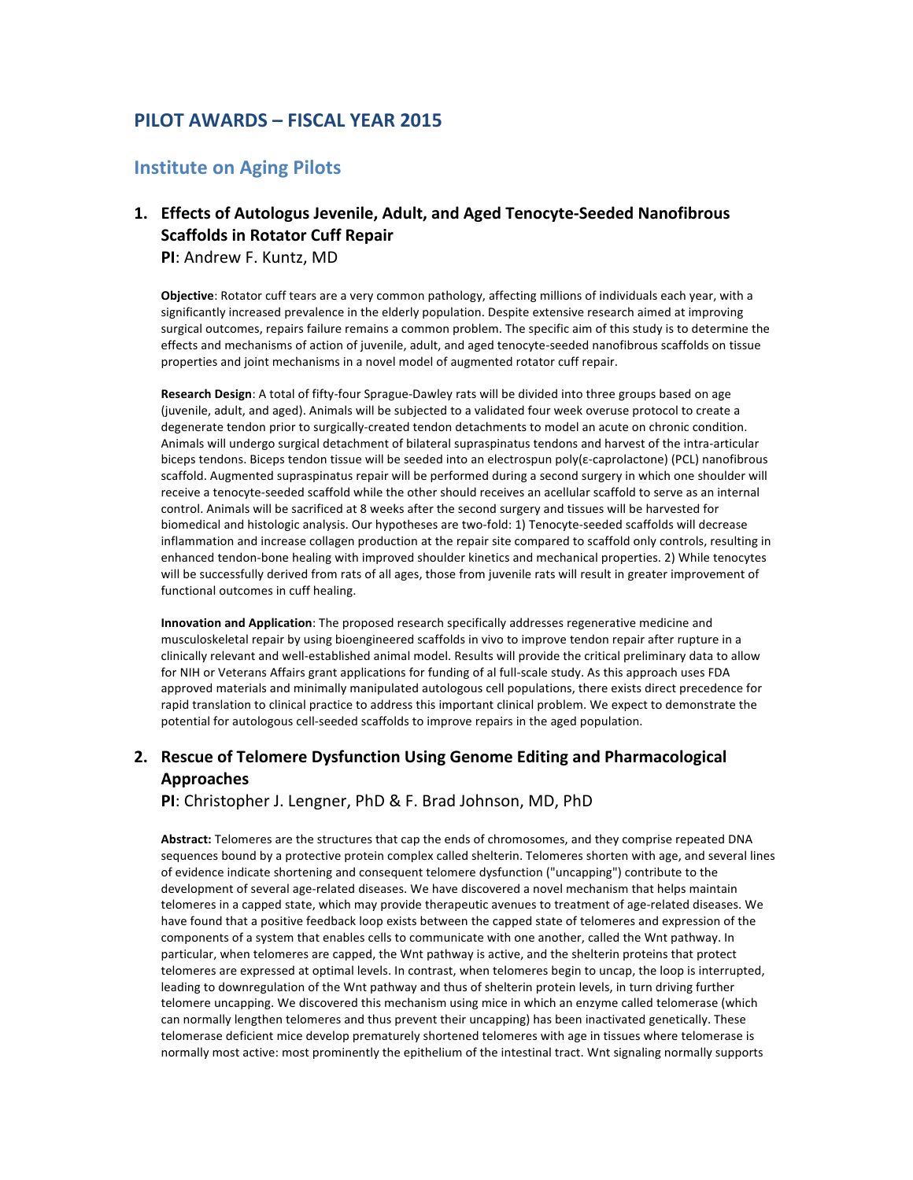# **PILOT AWARDS – FISCAL YEAR 2015**

#### **Institute on Aging Pilots**

# 1. Effects of Autologus Jevenile, Adult, and Aged Tenocyte-Seeded Nanofibrous **Scaffolds in Rotator Cuff Repair**

**PI:** Andrew F. Kuntz, MD

Objective: Rotator cuff tears are a very common pathology, affecting millions of individuals each year, with a significantly increased prevalence in the elderly population. Despite extensive research aimed at improving surgical outcomes, repairs failure remains a common problem. The specific aim of this study is to determine the effects and mechanisms of action of juvenile, adult, and aged tenocyte-seeded nanofibrous scaffolds on tissue properties and joint mechanisms in a novel model of augmented rotator cuff repair.

**Research Design**: A total of fifty-four Sprague-Dawley rats will be divided into three groups based on age (juvenile, adult, and aged). Animals will be subjected to a validated four week overuse protocol to create a degenerate tendon prior to surgically-created tendon detachments to model an acute on chronic condition. Animals will undergo surgical detachment of bilateral supraspinatus tendons and harvest of the intra-articular biceps tendons. Biceps tendon tissue will be seeded into an electrospun poly(ε-caprolactone) (PCL) nanofibrous scaffold. Augmented supraspinatus repair will be performed during a second surgery in which one shoulder will receive a tenocyte-seeded scaffold while the other should receives an acellular scaffold to serve as an internal control. Animals will be sacrificed at 8 weeks after the second surgery and tissues will be harvested for biomedical and histologic analysis. Our hypotheses are two-fold: 1) Tenocyte-seeded scaffolds will decrease inflammation and increase collagen production at the repair site compared to scaffold only controls, resulting in enhanced tendon-bone healing with improved shoulder kinetics and mechanical properties. 2) While tenocytes will be successfully derived from rats of all ages, those from juvenile rats will result in greater improvement of functional outcomes in cuff healing.

**Innovation and Application**: The proposed research specifically addresses regenerative medicine and musculoskeletal repair by using bioengineered scaffolds in vivo to improve tendon repair after rupture in a clinically relevant and well-established animal model. Results will provide the critical preliminary data to allow for NIH or Veterans Affairs grant applications for funding of al full-scale study. As this approach uses FDA approved materials and minimally manipulated autologous cell populations, there exists direct precedence for rapid translation to clinical practice to address this important clinical problem. We expect to demonstrate the potential for autologous cell-seeded scaffolds to improve repairs in the aged population.

### **2.** Rescue of Telomere Dysfunction Using Genome Editing and Pharmacological **Approaches**

**PI:** Christopher J. Lengner, PhD & F. Brad Johnson, MD, PhD

Abstract: Telomeres are the structures that cap the ends of chromosomes, and they comprise repeated DNA sequences bound by a protective protein complex called shelterin. Telomeres shorten with age, and several lines of evidence indicate shortening and consequent telomere dysfunction ("uncapping") contribute to the development of several age-related diseases. We have discovered a novel mechanism that helps maintain telomeres in a capped state, which may provide therapeutic avenues to treatment of age-related diseases. We have found that a positive feedback loop exists between the capped state of telomeres and expression of the components of a system that enables cells to communicate with one another, called the Wnt pathway. In particular, when telomeres are capped, the Wnt pathway is active, and the shelterin proteins that protect telomeres are expressed at optimal levels. In contrast, when telomeres begin to uncap, the loop is interrupted, leading to downregulation of the Wnt pathway and thus of shelterin protein levels, in turn driving further telomere uncapping. We discovered this mechanism using mice in which an enzyme called telomerase (which can normally lengthen telomeres and thus prevent their uncapping) has been inactivated genetically. These telomerase deficient mice develop prematurely shortened telomeres with age in tissues where telomerase is normally most active: most prominently the epithelium of the intestinal tract. Wnt signaling normally supports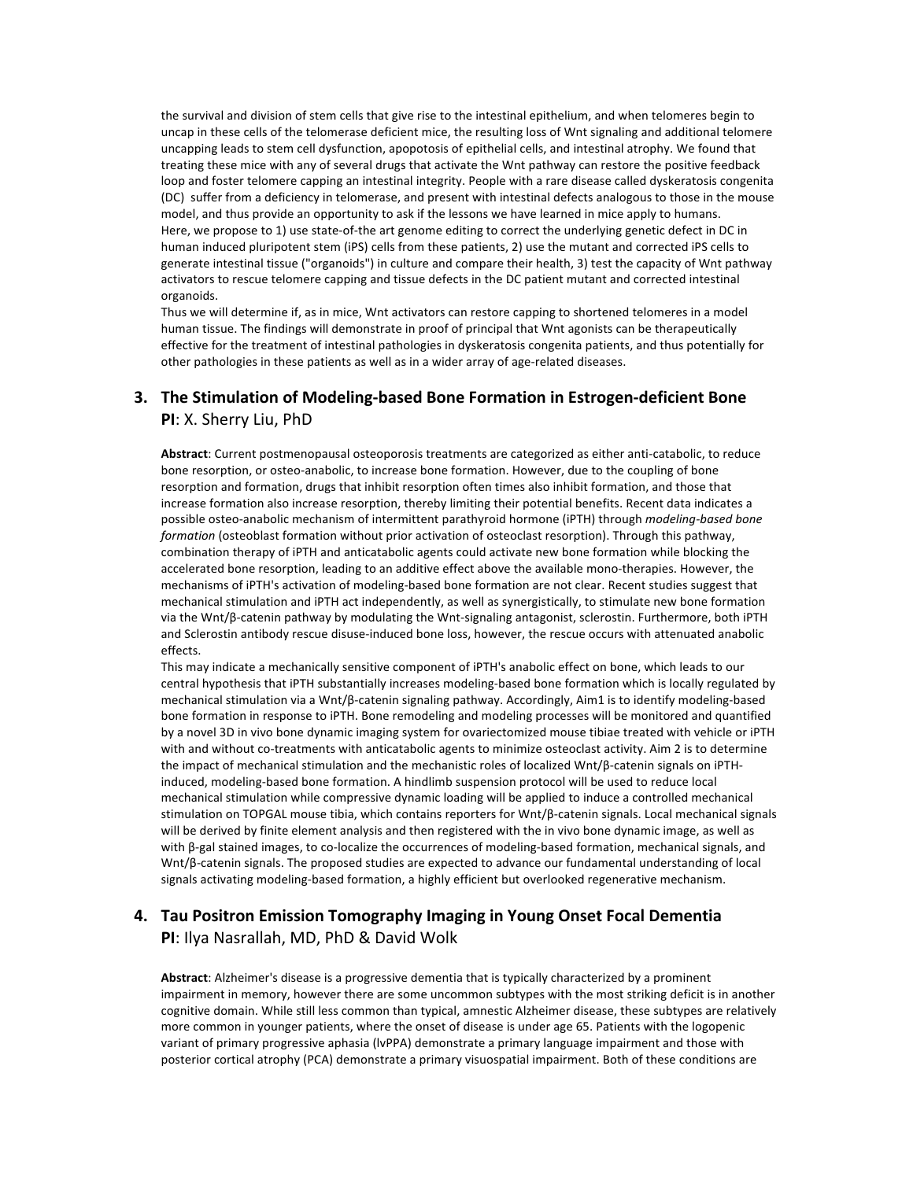the survival and division of stem cells that give rise to the intestinal epithelium, and when telomeres begin to uncap in these cells of the telomerase deficient mice, the resulting loss of Wnt signaling and additional telomere uncapping leads to stem cell dysfunction, apopotosis of epithelial cells, and intestinal atrophy. We found that treating these mice with any of several drugs that activate the Wnt pathway can restore the positive feedback loop and foster telomere capping an intestinal integrity. People with a rare disease called dyskeratosis congenita (DC) suffer from a deficiency in telomerase, and present with intestinal defects analogous to those in the mouse model, and thus provide an opportunity to ask if the lessons we have learned in mice apply to humans. Here, we propose to 1) use state-of-the art genome editing to correct the underlying genetic defect in DC in human induced pluripotent stem (iPS) cells from these patients, 2) use the mutant and corrected iPS cells to generate intestinal tissue ("organoids") in culture and compare their health, 3) test the capacity of Wnt pathway activators to rescue telomere capping and tissue defects in the DC patient mutant and corrected intestinal organoids.

Thus we will determine if, as in mice, Wnt activators can restore capping to shortened telomeres in a model human tissue. The findings will demonstrate in proof of principal that Wnt agonists can be therapeutically effective for the treatment of intestinal pathologies in dyskeratosis congenita patients, and thus potentially for other pathologies in these patients as well as in a wider array of age-related diseases.

### **3. The Stimulation of Modeling-based Bone Formation in Estrogen-deficient Bone PI:** X. Sherry Liu, PhD

Abstract: Current postmenopausal osteoporosis treatments are categorized as either anti-catabolic, to reduce bone resorption, or osteo-anabolic, to increase bone formation. However, due to the coupling of bone resorption and formation, drugs that inhibit resorption often times also inhibit formation, and those that increase formation also increase resorption, thereby limiting their potential benefits. Recent data indicates a possible osteo-anabolic mechanism of intermittent parathyroid hormone (iPTH) through *modeling-based bone formation* (osteoblast formation without prior activation of osteoclast resorption). Through this pathway, combination therapy of iPTH and anticatabolic agents could activate new bone formation while blocking the accelerated bone resorption, leading to an additive effect above the available mono-therapies. However, the mechanisms of iPTH's activation of modeling-based bone formation are not clear. Recent studies suggest that mechanical stimulation and iPTH act independently, as well as synergistically, to stimulate new bone formation via the Wnt/β-catenin pathway by modulating the Wnt-signaling antagonist, sclerostin. Furthermore, both iPTH and Sclerostin antibody rescue disuse-induced bone loss, however, the rescue occurs with attenuated anabolic effects.

This may indicate a mechanically sensitive component of iPTH's anabolic effect on bone, which leads to our central hypothesis that iPTH substantially increases modeling-based bone formation which is locally regulated by mechanical stimulation via a Wnt/β-catenin signaling pathway. Accordingly, Aim1 is to identify modeling-based bone formation in response to iPTH. Bone remodeling and modeling processes will be monitored and quantified by a novel 3D in vivo bone dynamic imaging system for ovariectomized mouse tibiae treated with vehicle or iPTH with and without co-treatments with anticatabolic agents to minimize osteoclast activity. Aim 2 is to determine the impact of mechanical stimulation and the mechanistic roles of localized Wnt/β-catenin signals on iPTHinduced, modeling-based bone formation. A hindlimb suspension protocol will be used to reduce local mechanical stimulation while compressive dynamic loading will be applied to induce a controlled mechanical stimulation on TOPGAL mouse tibia, which contains reporters for Wnt/β-catenin signals. Local mechanical signals will be derived by finite element analysis and then registered with the in vivo bone dynamic image, as well as with β-gal stained images, to co-localize the occurrences of modeling-based formation, mechanical signals, and Wnt/β-catenin signals. The proposed studies are expected to advance our fundamental understanding of local signals activating modeling-based formation, a highly efficient but overlooked regenerative mechanism.

#### **4.** Tau Positron Emission Tomography Imaging in Young Onset Focal Dementia **PI:** Ilya Nasrallah, MD, PhD & David Wolk

Abstract: Alzheimer's disease is a progressive dementia that is typically characterized by a prominent impairment in memory, however there are some uncommon subtypes with the most striking deficit is in another cognitive domain. While still less common than typical, amnestic Alzheimer disease, these subtypes are relatively more common in younger patients, where the onset of disease is under age 65. Patients with the logopenic variant of primary progressive aphasia (IvPPA) demonstrate a primary language impairment and those with posterior cortical atrophy (PCA) demonstrate a primary visuospatial impairment. Both of these conditions are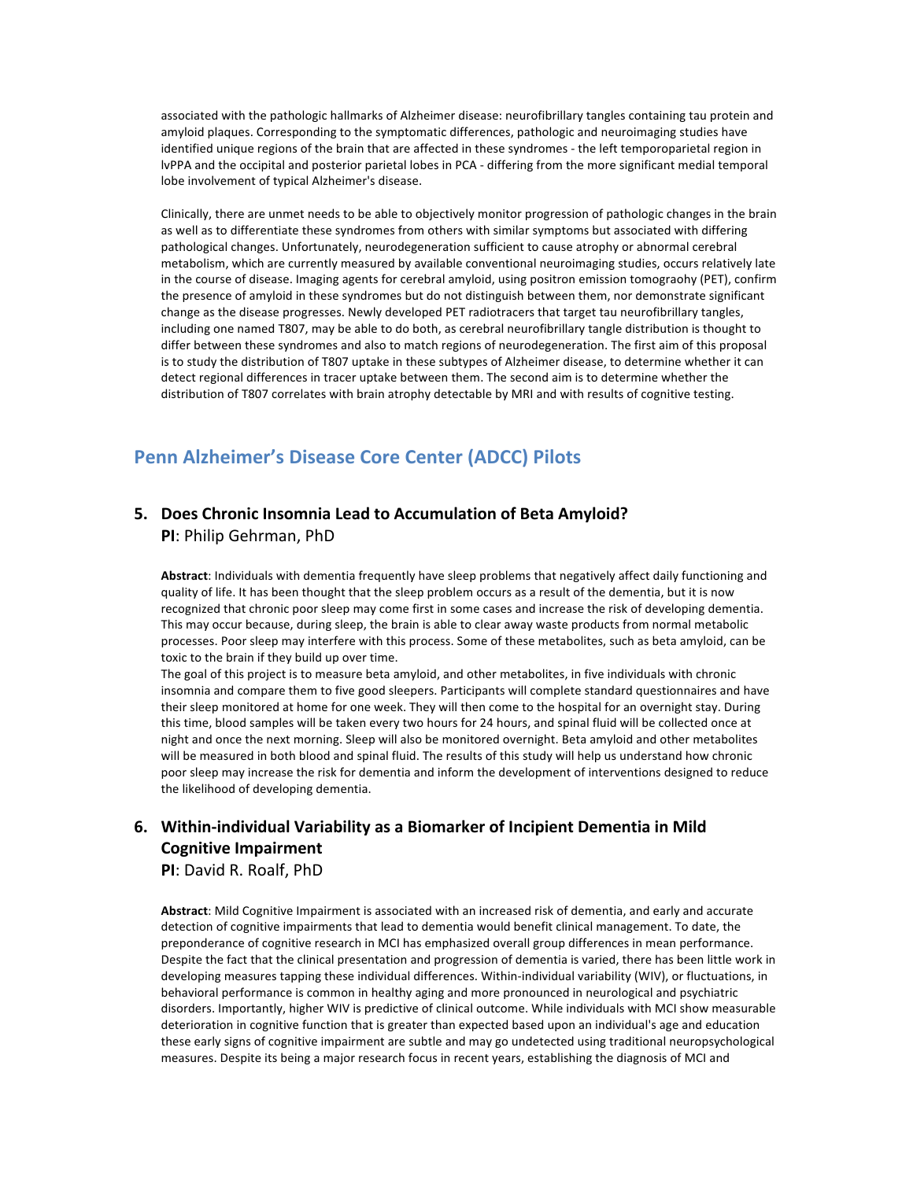associated with the pathologic hallmarks of Alzheimer disease: neurofibrillary tangles containing tau protein and amyloid plaques. Corresponding to the symptomatic differences, pathologic and neuroimaging studies have identified unique regions of the brain that are affected in these syndromes - the left temporoparietal region in lvPPA and the occipital and posterior parietal lobes in PCA - differing from the more significant medial temporal lobe involvement of typical Alzheimer's disease.

Clinically, there are unmet needs to be able to objectively monitor progression of pathologic changes in the brain as well as to differentiate these syndromes from others with similar symptoms but associated with differing pathological changes. Unfortunately, neurodegeneration sufficient to cause atrophy or abnormal cerebral metabolism, which are currently measured by available conventional neuroimaging studies, occurs relatively late in the course of disease. Imaging agents for cerebral amyloid, using positron emission tomograohy (PET), confirm the presence of amyloid in these syndromes but do not distinguish between them, nor demonstrate significant change as the disease progresses. Newly developed PET radiotracers that target tau neurofibrillary tangles, including one named T807, may be able to do both, as cerebral neurofibrillary tangle distribution is thought to differ between these syndromes and also to match regions of neurodegeneration. The first aim of this proposal is to study the distribution of T807 uptake in these subtypes of Alzheimer disease, to determine whether it can detect regional differences in tracer uptake between them. The second aim is to determine whether the distribution of T807 correlates with brain atrophy detectable by MRI and with results of cognitive testing.

# **Penn Alzheimer's Disease Core Center (ADCC) Pilots**

#### **5. Does Chronic Insomnia Lead to Accumulation of Beta Amyloid? PI:** Philip Gehrman, PhD

Abstract: Individuals with dementia frequently have sleep problems that negatively affect daily functioning and quality of life. It has been thought that the sleep problem occurs as a result of the dementia, but it is now recognized that chronic poor sleep may come first in some cases and increase the risk of developing dementia. This may occur because, during sleep, the brain is able to clear away waste products from normal metabolic processes. Poor sleep may interfere with this process. Some of these metabolites, such as beta amyloid, can be toxic to the brain if they build up over time.

The goal of this project is to measure beta amyloid, and other metabolites, in five individuals with chronic insomnia and compare them to five good sleepers. Participants will complete standard questionnaires and have their sleep monitored at home for one week. They will then come to the hospital for an overnight stay. During this time, blood samples will be taken every two hours for 24 hours, and spinal fluid will be collected once at night and once the next morning. Sleep will also be monitored overnight. Beta amyloid and other metabolites will be measured in both blood and spinal fluid. The results of this study will help us understand how chronic poor sleep may increase the risk for dementia and inform the development of interventions designed to reduce the likelihood of developing dementia.

### **6.** Within-individual Variability as a Biomarker of Incipient Dementia in Mild **Cognitive Impairment**

**PI:** David R. Roalf, PhD

Abstract: Mild Cognitive Impairment is associated with an increased risk of dementia, and early and accurate detection of cognitive impairments that lead to dementia would benefit clinical management. To date, the preponderance of cognitive research in MCI has emphasized overall group differences in mean performance. Despite the fact that the clinical presentation and progression of dementia is varied, there has been little work in developing measures tapping these individual differences. Within-individual variability (WIV), or fluctuations, in behavioral performance is common in healthy aging and more pronounced in neurological and psychiatric disorders. Importantly, higher WIV is predictive of clinical outcome. While individuals with MCI show measurable deterioration in cognitive function that is greater than expected based upon an individual's age and education these early signs of cognitive impairment are subtle and may go undetected using traditional neuropsychological measures. Despite its being a major research focus in recent years, establishing the diagnosis of MCI and